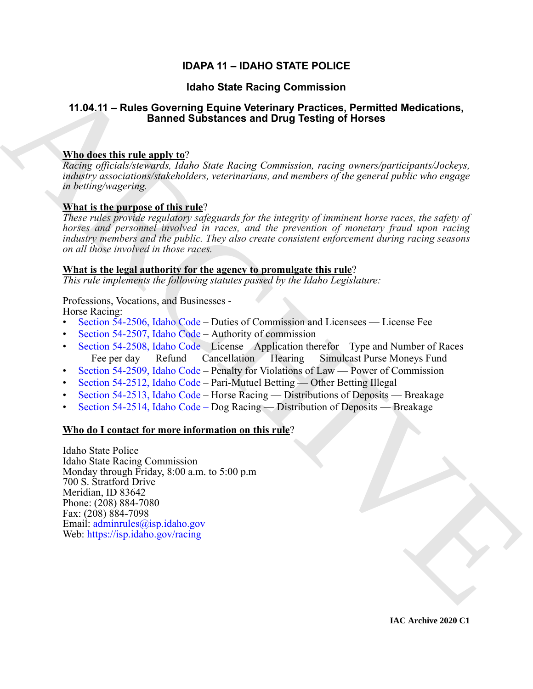# **IDAPA 11 – IDAHO STATE POLICE**

## **Idaho State Racing Commission**

## **11.04.11 – Rules Governing Equine Veterinary Practices, Permitted Medications, Banned Substances and Drug Testing of Horses**

### **Who does this rule apply to**?

*Racing officials/stewards, Idaho State Racing Commission, racing owners/participants/Jockeys, industry associations/stakeholders, veterinarians, and members of the general public who engage in betting/wagering.*

### **What is the purpose of this rule**?

*These rules provide regulatory safeguards for the integrity of imminent horse races, the safety of horses and personnel involved in races, and the prevention of monetary fraud upon racing industry members and the public. They also create consistent enforcement during racing seasons on all those involved in those races.* 

#### **What is the legal authority for the agency to promulgate this rule**?

*This rule implements the following statutes passed by the Idaho Legislature:*

Professions, Vocations, and Businesses - Horse Racing:

- Section 54-2506, Idaho Code Duties of Commission and Licensees License Fee
- Section 54-2507, Idaho Code Authority of commission
- Section 54-2508, Idaho Code License Application therefor Type and Number of Races — Fee per day — Refund — Cancellation — Hearing — Simulcast Purse Moneys Fund
- Section 54-2509, Idaho Code Penalty for Violations of Law Power of Commission
- Section 54-2512, Idaho Code Pari-Mutuel Betting Other Betting Illegal
- Section 54-2513, Idaho Code Horse Racing Distributions of Deposits Breakage
- Section 54-2514, Idaho Code Dog Racing Distribution of Deposits Breakage

#### **Who do I contact for more information on this rule**?

**14.04.11 – Rules Governing [C](https://legislature.idaho.gov/statutesrules/idstat/Title54/T54CH25/SECT54-2506/)ommission**<br>
14.04.11 – Rules Governing Equine Weiverland, Flacticity, Practices, Permitted Medications,<br> **Example 2016** Model and the state of the state of the state of the state of the state Idaho State Police Idaho State Racing Commission Monday through Friday, 8:00 a.m. to 5:00 p.m 700 S. Stratford Drive Meridian, ID 83642 Phone: (208) 884-7080 Fax: (208) 884-7098 Email: adminrules@isp.idaho.gov Web: https://isp.idaho.gov/racing

**IAC Archive 2020 C1**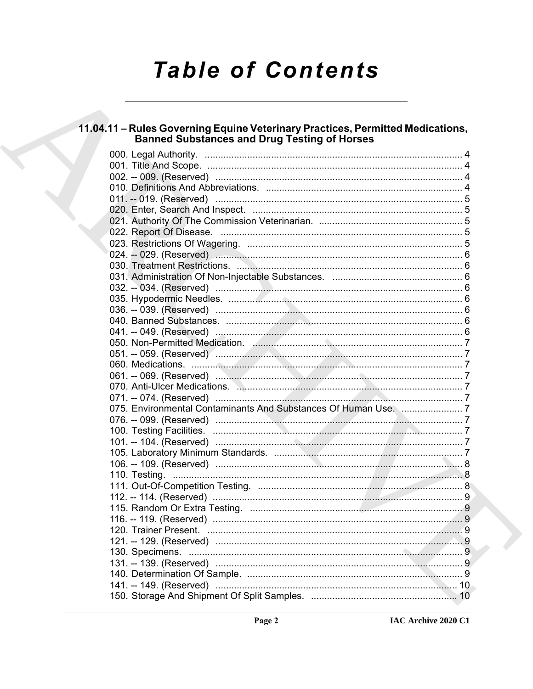# **Table of Contents**

# 11.04.11 – Rules Governing Equine Veterinary Practices, Permitted Medications,<br>Banned Substances and Drug Testing of Horses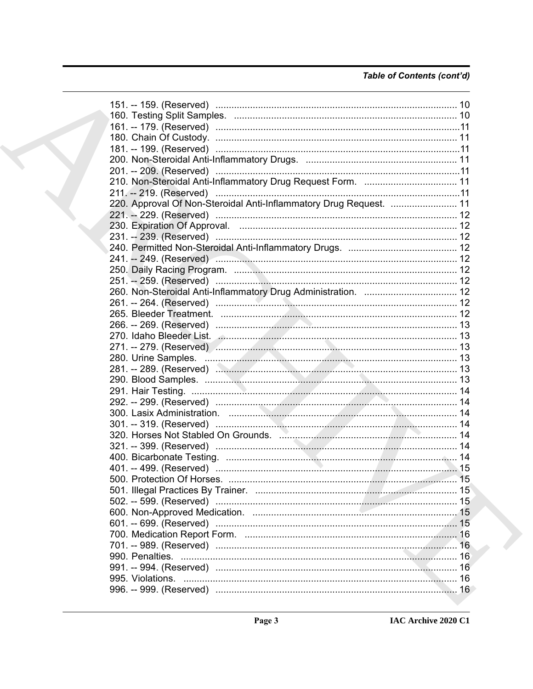## Table of Contents (cont'd)

|  | 151. -- 159. (Reserved) ……………………………………………………………………………………… 10       |    |
|--|--------------------------------------------------------------------|----|
|  |                                                                    |    |
|  |                                                                    |    |
|  |                                                                    |    |
|  |                                                                    |    |
|  |                                                                    |    |
|  |                                                                    |    |
|  | 210. Non-Steroidal Anti-Inflammatory Drug Request Form.  11        |    |
|  |                                                                    |    |
|  | 220. Approval Of Non-Steroidal Anti-Inflammatory Drug Request.  11 |    |
|  |                                                                    |    |
|  |                                                                    |    |
|  |                                                                    |    |
|  |                                                                    |    |
|  | 241. -- 249. (Reserved) ………………………………………………………………………… 12            |    |
|  |                                                                    |    |
|  |                                                                    |    |
|  |                                                                    |    |
|  |                                                                    |    |
|  |                                                                    |    |
|  |                                                                    |    |
|  |                                                                    |    |
|  |                                                                    |    |
|  |                                                                    |    |
|  |                                                                    |    |
|  |                                                                    |    |
|  |                                                                    |    |
|  |                                                                    |    |
|  |                                                                    |    |
|  |                                                                    |    |
|  |                                                                    |    |
|  |                                                                    |    |
|  |                                                                    |    |
|  |                                                                    |    |
|  |                                                                    |    |
|  |                                                                    |    |
|  |                                                                    |    |
|  |                                                                    |    |
|  |                                                                    |    |
|  |                                                                    |    |
|  |                                                                    | 16 |
|  | 990. Penalties.                                                    | 16 |
|  | 991. -- 994. (Reserved) ……………………………………………………………………………              | 16 |
|  |                                                                    |    |
|  |                                                                    |    |
|  |                                                                    |    |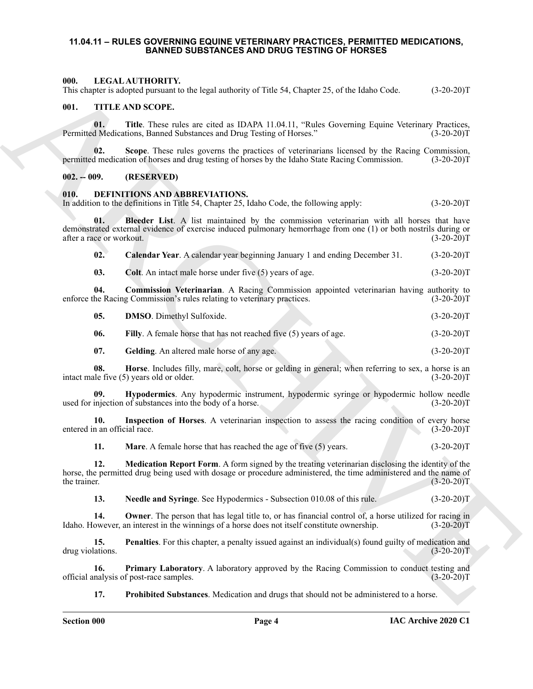#### <span id="page-3-0"></span>**11.04.11 – RULES GOVERNING EQUINE VETERINARY PRACTICES, PERMITTED MEDICATIONS, BANNED SUBSTANCES AND DRUG TESTING OF HORSES**

#### <span id="page-3-23"></span><span id="page-3-1"></span>**000. LEGAL AUTHORITY.**

This chapter is adopted pursuant to the legal authority of Title 54, Chapter 25, of the Idaho Code. (3-20-20)T

#### <span id="page-3-24"></span><span id="page-3-2"></span>**001. TITLE AND SCOPE.**

**01.** Title. These rules are cited as IDAPA 11.04.11, "Rules Governing Equine Veterinary Practices, d Medications, Banned Substances and Drug Testing of Horses." (3-20-20)T Permitted Medications, Banned Substances and Drug Testing of Horses."

**02.** Scope. These rules governs the practices of veterinarians licensed by the Racing Commission, 1 medication of horses and drug testing of horses by the Idaho State Racing Commission. (3-20-20)T permitted medication of horses and drug testing of horses by the Idaho State Racing Commission.

#### <span id="page-3-3"></span>**002. -- 009. (RESERVED)**

#### <span id="page-3-5"></span><span id="page-3-4"></span>**010. DEFINITIONS AND ABBREVIATIONS.**

In addition to the definitions in Title 54, Chapter 25, Idaho Code, the following apply: (3-20-20)T

601. THE A ANTIFORTY of the lagar anthony of Title So, Chapter 25, of for Idaho Code. (13.20.30)<br>
(ii). The ARCHIVE of the state of the DATA 11.01.1). The Governing Equine Venerace Systems (13.20.30)<br>
(ii). The Theoretica **01. Bleeder List**. A list maintained by the commission veterinarian with all horses that have demonstrated external evidence of exercise induced pulmonary hemorrhage from one (1) or both nostrils during or after a race or workout. (3-20-20)T

<span id="page-3-7"></span><span id="page-3-6"></span>**02. Calendar Year**. A calendar year beginning January 1 and ending December 31. (3-20-20)T

<span id="page-3-9"></span><span id="page-3-8"></span>**03.** Colt. An intact male horse under five (5) years of age. (3-20-20)T

**04. Commission Veterinarian**. A Racing Commission appointed veterinarian having authority to the Racing Commission's rules relating to veterinary practices. (3-20-20) enforce the Racing Commission's rules relating to veterinary practices.

<span id="page-3-10"></span>**05. DMSO**. Dimethyl Sulfoxide. (3-20-20)T

<span id="page-3-11"></span>**06.** Filly. A female horse that has not reached five (5) years of age. (3-20-20)T

<span id="page-3-14"></span><span id="page-3-13"></span><span id="page-3-12"></span>**07.** Gelding. An altered male horse of any age. (3-20-20)T

**08. Horse**. Includes filly, mare, colt, horse or gelding in general; when referring to sex, a horse is an ale five (5) years old or older. (3-20-20) intact male five  $(5)$  years old or older.

**09. Hypodermics**. Any hypodermic instrument, hypodermic syringe or hypodermic hollow needle used for injection of substances into the body of a horse. (3-20-20)T

**10.** Inspection of Horses. A veterinarian inspection to assess the racing condition of every horse n an official race. (3-20-20) entered in an official race.

<span id="page-3-17"></span><span id="page-3-16"></span><span id="page-3-15"></span>**11. Mare**. A female horse that has reached the age of five (5) years. (3-20-20)T

**12. Medication Report Form**. A form signed by the treating veterinarian disclosing the identity of the horse, the permitted drug being used with dosage or procedure administered, the time administered and the name of the trainer. (3-20-20)T

<span id="page-3-20"></span><span id="page-3-19"></span><span id="page-3-18"></span>**13.** Needle and Syringe. See Hypodermics - Subsection 010.08 of this rule. (3-20-20)T

**14. Owner**. The person that has legal title to, or has financial control of, a horse utilized for racing in owever, an interest in the winnings of a horse does not itself constitute ownership. (3-20-20)T Idaho. However, an interest in the winnings of a horse does not itself constitute ownership.

**15. Penalties**. For this chapter, a penalty issued against an individual(s) found guilty of medication and lations. (3-20-20) drug violations.

**16. Primary Laboratory**. A laboratory approved by the Racing Commission to conduct testing and official analysis of post-race samples. (3-20-20)T

<span id="page-3-22"></span><span id="page-3-21"></span>**17. Prohibited Substances**. Medication and drugs that should not be administered to a horse.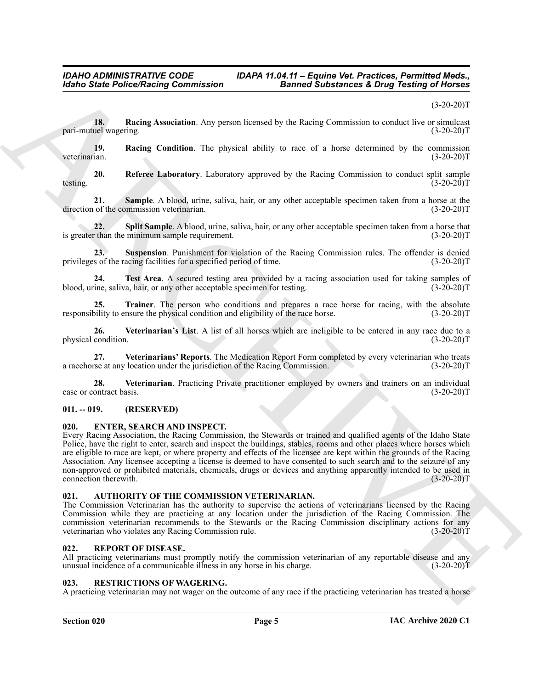#### $(3-20-20)T$

<span id="page-4-6"></span>**18. Racing Association**. Any person licensed by the Racing Commission to conduct live or simulcast uel wagering. (3-20-20) pari-mutuel wagering.

<span id="page-4-7"></span>**19. Racing Condition**. The physical ability to race of a horse determined by the commission veterinarian. (3-20-20)T veterinarian. (3-20-20)T

<span id="page-4-8"></span>**20. Referee Laboratory**. Laboratory approved by the Racing Commission to conduct split sample testing.  $(3-20-20)T$ 

<span id="page-4-9"></span>**21. Sample**. A blood, urine, saliva, hair, or any other acceptable specimen taken from a horse at the of the commission veterinarian. (3-20-20)<sup>T</sup> direction of the commission veterinarian.

<span id="page-4-10"></span>**22.** Split Sample. A blood, urine, saliva, hair, or any other acceptable specimen taken from a horse that than the minimum sample requirement. (3-20-20) is greater than the minimum sample requirement.

<span id="page-4-11"></span>**23. Suspension**. Punishment for violation of the Racing Commission rules. The offender is denied privileges of the racing facilities for a specified period of time. (3-20-20)T

<span id="page-4-12"></span>**24. Test Area**. A secured testing area provided by a racing association used for taking samples of tine, saliva, hair, or any other acceptable specimen for testing. (3-20-20)<sup>T</sup> blood, urine, saliva, hair, or any other acceptable specimen for testing.

<span id="page-4-13"></span>**25. Trainer**. The person who conditions and prepares a race horse for racing, with the absolute responsibility to ensure the physical condition and eligibility of the race horse. (3-20-20)T

<span id="page-4-15"></span>**26. Veterinarian's List**. A list of all horses which are ineligible to be entered in any race due to a physical condition.

<span id="page-4-16"></span>**27.** Veterinarians' Reports. The Medication Report Form completed by every veterinarian who treats rse at any location under the jurisdiction of the Racing Commission. (3-20-20) a racehorse at any location under the jurisdiction of the Racing Commission.

<span id="page-4-14"></span>**28. Veterinarian**. Practicing Private practitioner employed by owners and trainers on an individual case or contract basis. (3-20-20)T

#### <span id="page-4-0"></span>**011. -- 019. (RESERVED)**

#### <span id="page-4-17"></span><span id="page-4-1"></span>**020. ENTER, SEARCH AND INSPECT.**

Globe State Police/Nacing Commission<br>
Theoretical Association Commission<br>
Theoretical Association Architecture and the properties of the control of the control of the control<br>
Theoretical Association and the properties de Every Racing Association, the Racing Commission, the Stewards or trained and qualified agents of the Idaho State Police, have the right to enter, search and inspect the buildings, stables, rooms and other places where horses which are eligible to race are kept, or where property and effects of the licensee are kept within the grounds of the Racing Association. Any licensee accepting a license is deemed to have consented to such search and to the seizure of any non-approved or prohibited materials, chemicals, drugs or devices and anything apparently intended to be used in connection therewith. (3-20-20)T

#### <span id="page-4-5"></span><span id="page-4-2"></span>**021. AUTHORITY OF THE COMMISSION VETERINARIAN.**

The Commission Veterinarian has the authority to supervise the actions of veterinarians licensed by the Racing Commission while they are practicing at any location under the jurisdiction of the Racing Commission. The commission veterinarian recommends to the Stewards or the Racing Commission disciplinary actions for any veterinarian who violates any Racing Commission rule. (3-20-20)T veterinarian who violates any Racing Commission rule.

#### <span id="page-4-18"></span><span id="page-4-3"></span>**022. REPORT OF DISEASE.**

All practicing veterinarians must promptly notify the commission veterinarian of any reportable disease and any unusual incidence of a communicable illness in any horse in his charge. (3-20-20)T

#### <span id="page-4-19"></span><span id="page-4-4"></span>**RESTRICTIONS OF WAGERING.**

A practicing veterinarian may not wager on the outcome of any race if the practicing veterinarian has treated a horse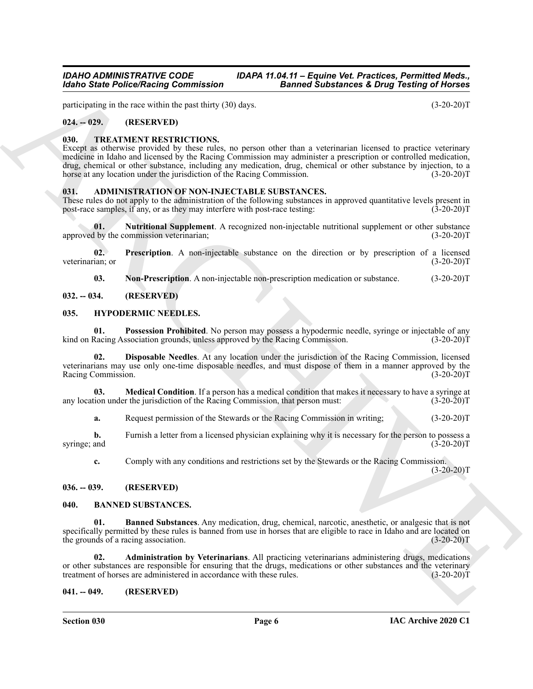participating in the race within the past thirty (30) days. (3-20-20)T

#### <span id="page-5-0"></span>**024. -- 029. (RESERVED)**

#### <span id="page-5-19"></span><span id="page-5-1"></span>**030. TREATMENT RESTRICTIONS.**

Models State Police/Neising Commission<br>
yesters at the state police Mathematics and the state of the state of the state of the state of the state of the state of the state of the state of the state of the state of the sta Except as otherwise provided by these rules, no person other than a veterinarian licensed to practice veterinary medicine in Idaho and licensed by the Racing Commission may administer a prescription or controlled medication, drug, chemical or other substance, including any medication, drug, chemical or other substance by injection, to a horse at any location under the jurisdiction of the Racing Commission. (3-20-20)T

#### <span id="page-5-8"></span><span id="page-5-2"></span>**031. ADMINISTRATION OF NON-INJECTABLE SUBSTANCES.**

These rules do not apply to the administration of the following substances in approved quantitative levels present in post-race samples, if any, or as they may interfere with post-race testing: (3-20-20)T post-race samples, if any, or as they may interfere with post-race testing:

<span id="page-5-10"></span>**01. Nutritional Supplement**. A recognized non-injectable nutritional supplement or other substance 1 by the commission veterinarian; (3-20-20) approved by the commission veterinarian;

**02. Prescription**. A non-injectable substance on the direction or by prescription of a licensed veterinarian; or (3-20-20)T

<span id="page-5-18"></span><span id="page-5-15"></span><span id="page-5-11"></span><span id="page-5-9"></span>**03.** Non-Prescription. A non-injectable non-prescription medication or substance. (3-20-20)T

#### <span id="page-5-3"></span>**032. -- 034. (RESERVED)**

#### <span id="page-5-4"></span>**035. HYPODERMIC NEEDLES.**

**01. Possession Prohibited**. No person may possess a hypodermic needle, syringe or injectable of any Racing Association grounds, unless approved by the Racing Commission. (3-20-20) kind on Racing Association grounds, unless approved by the Racing Commission.

<span id="page-5-16"></span>**02. Disposable Needles**. At any location under the jurisdiction of the Racing Commission, licensed veterinarians may use only one-time disposable needles, and must dispose of them in a manner approved by the Racing Commission.

**03. Medical Condition**. If a person has a medical condition that makes it necessary to have a syringe at ion under the jurisdiction of the Racing Commission, that person must:  $(3-20-20)$ any location under the jurisdiction of the Racing Commission, that person must:

<span id="page-5-17"></span>**a.** Request permission of the Stewards or the Racing Commission in writing; (3-20-20)T

**b.** Furnish a letter from a licensed physician explaining why it is necessary for the person to possess a and (3-20-20) syringe; and

<span id="page-5-14"></span>**c.** Comply with any conditions and restrictions set by the Stewards or the Racing Commission.

 $(3-20-20)T$ 

#### <span id="page-5-5"></span>**036. -- 039. (RESERVED)**

#### <span id="page-5-12"></span><span id="page-5-6"></span>**040. BANNED SUBSTANCES.**

**01. Banned Substances**. Any medication, drug, chemical, narcotic, anesthetic, or analgesic that is not specifically permitted by these rules is banned from use in horses that are eligible to race in Idaho and are located on the grounds of a racing association. (3-20-20)T

<span id="page-5-13"></span>**02. Administration by Veterinarians**. All practicing veterinarians administering drugs, medications or other substances are responsible for ensuring that the drugs, medications or other substances and the veterinary treatment of horses are administered in accordance with these rules. (3-20-20)T treatment of horses are administered in accordance with these rules.

#### <span id="page-5-7"></span>**041. -- 049. (RESERVED)**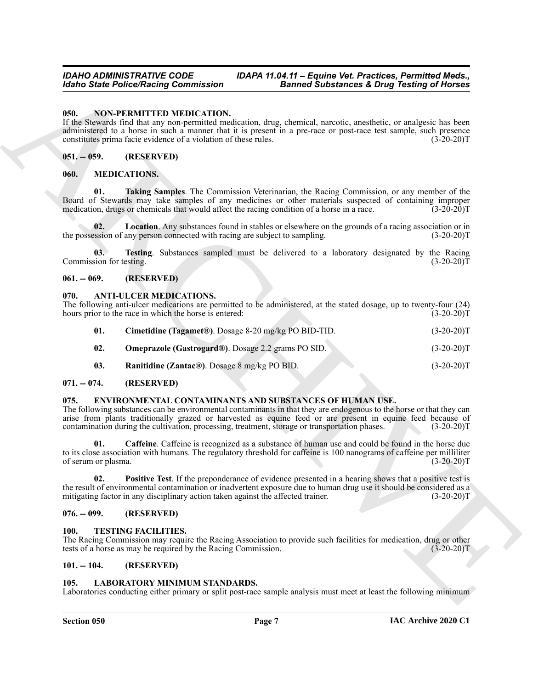#### <span id="page-6-23"></span><span id="page-6-0"></span>**050. NON-PERMITTED MEDICATION.**

#### <span id="page-6-1"></span>**051. -- 059. (RESERVED)**

#### <span id="page-6-21"></span><span id="page-6-20"></span><span id="page-6-19"></span><span id="page-6-2"></span>**060. MEDICATIONS.**

#### <span id="page-6-22"></span><span id="page-6-3"></span>**061. -- 069. (RESERVED)**

#### <span id="page-6-12"></span><span id="page-6-11"></span><span id="page-6-4"></span>**070. ANTI-ULCER MEDICATIONS.**

| 050.<br>NON-PERMITTED MEDICATION.<br>If the Stewards find that any non-permitted medication, drug, chemical, narcotic, anesthetic, or analgesic has been<br>administered to a horse in such a manner that it is present in a pre-race or post-race test sample, such presence<br>constitutes prima facie evidence of a violation of these rules.<br>$(3-20-20)T$<br>(RESERVED)<br>$051. - 059.$<br><b>MEDICATIONS.</b><br>060.<br>01.<br>Taking Samples. The Commission Veterinarian, the Racing Commission, or any member of the<br>Board of Stewards may take samples of any medicines or other materials suspected of containing improper<br>medication, drugs or chemicals that would affect the racing condition of a horse in a race.<br>$(3-20-20)T$<br><b>Location</b> . Any substances found in stables or elsewhere on the grounds of a racing association or in<br>02.<br>the possession of any person connected with racing are subject to sampling.<br>$(3-20-20)T$<br>Testing. Substances sampled must be delivered to a laboratory designated by the Racing<br>03.<br>Commission for testing.<br>$(3-20-20)T$<br>$061. - 069.$<br>(RESERVED)<br><b>ANTI-ULCER MEDICATIONS.</b><br>070.<br>The following anti-ulcer medications are permitted to be administered, at the stated dosage, up to twenty-four (24)<br>hours prior to the race in which the horse is entered:<br>$(3-20-20)T$<br>01.<br>Cimetidine (Tagamet®). Dosage 8-20 mg/kg PO BID-TID.<br>$(3-20-20)T$<br>02.<br>Omeprazole (Gastrogard®). Dosage 2.2 grams PO SID.<br>$(3-20-20)T$<br>03.<br>Ranitidine (Zantac®). Dosage 8 mg/kg PO BID.<br>$(3-20-20)T$<br>$071. - 074.$<br>(RESERVED)<br>ENVIRONMENTAL CONTAMINANTS AND SUBSTANCES OF HUMAN USE.<br>075.<br>The following substances can be environmental contaminants in that they are endogenous to the horse or that they can<br>arise from plants traditionally grazed or harvested as equine feed or are present in equine feed because of<br>contamination during the cultivation, processing, treatment, storage or transportation phases.<br>$(3-20-20)T$<br>Caffeine. Caffeine is recognized as a substance of human use and could be found in the horse due<br>01.<br>to its close association with humans. The regulatory threshold for caffeine is 100 nanograms of caffeine per milliliter<br>of serum or plasma.<br>$(3-20-20)T$<br><b>Positive Test.</b> If the preponderance of evidence presented in a hearing shows that a positive test is<br>02.<br>the result of environmental contamination or inadvertent exposure due to human drug use it should be considered as a<br>mitigating factor in any disciplinary action taken against the affected trainer.<br>$(3-20-20)T$<br>$076. - 099.$<br>(RESERVED)<br><b>TESTING FACILITIES.</b><br>100.<br>The Racing Commission may require the Racing Association to provide such facilities for medication, drug or other<br>tests of a horse as may be required by the Racing Commission.<br>$(3-20-20)T$<br>$101. - 104.$<br>(RESERVED)<br>105.<br><b>LABORATORY MINIMUM STANDARDS.</b><br>Laboratories conducting either primary or split post-race sample analysis must meet at least the following minimum | <b>Idaho State Police/Racing Commission</b> | <b>Banned Substances &amp; Drug Testing of Horses</b> |  |
|---------------------------------------------------------------------------------------------------------------------------------------------------------------------------------------------------------------------------------------------------------------------------------------------------------------------------------------------------------------------------------------------------------------------------------------------------------------------------------------------------------------------------------------------------------------------------------------------------------------------------------------------------------------------------------------------------------------------------------------------------------------------------------------------------------------------------------------------------------------------------------------------------------------------------------------------------------------------------------------------------------------------------------------------------------------------------------------------------------------------------------------------------------------------------------------------------------------------------------------------------------------------------------------------------------------------------------------------------------------------------------------------------------------------------------------------------------------------------------------------------------------------------------------------------------------------------------------------------------------------------------------------------------------------------------------------------------------------------------------------------------------------------------------------------------------------------------------------------------------------------------------------------------------------------------------------------------------------------------------------------------------------------------------------------------------------------------------------------------------------------------------------------------------------------------------------------------------------------------------------------------------------------------------------------------------------------------------------------------------------------------------------------------------------------------------------------------------------------------------------------------------------------------------------------------------------------------------------------------------------------------------------------------------------------------------------------------------------------------------------------------------------------------------------------------------------------------------------------------------------------------------------------------------------------------------------------------------------------------------------------------------------------------------------------------------------------------------------------------------------------------------------------------------------------------------------------------------------|---------------------------------------------|-------------------------------------------------------|--|
|                                                                                                                                                                                                                                                                                                                                                                                                                                                                                                                                                                                                                                                                                                                                                                                                                                                                                                                                                                                                                                                                                                                                                                                                                                                                                                                                                                                                                                                                                                                                                                                                                                                                                                                                                                                                                                                                                                                                                                                                                                                                                                                                                                                                                                                                                                                                                                                                                                                                                                                                                                                                                                                                                                                                                                                                                                                                                                                                                                                                                                                                                                                                                                                                                     |                                             |                                                       |  |
|                                                                                                                                                                                                                                                                                                                                                                                                                                                                                                                                                                                                                                                                                                                                                                                                                                                                                                                                                                                                                                                                                                                                                                                                                                                                                                                                                                                                                                                                                                                                                                                                                                                                                                                                                                                                                                                                                                                                                                                                                                                                                                                                                                                                                                                                                                                                                                                                                                                                                                                                                                                                                                                                                                                                                                                                                                                                                                                                                                                                                                                                                                                                                                                                                     |                                             |                                                       |  |
|                                                                                                                                                                                                                                                                                                                                                                                                                                                                                                                                                                                                                                                                                                                                                                                                                                                                                                                                                                                                                                                                                                                                                                                                                                                                                                                                                                                                                                                                                                                                                                                                                                                                                                                                                                                                                                                                                                                                                                                                                                                                                                                                                                                                                                                                                                                                                                                                                                                                                                                                                                                                                                                                                                                                                                                                                                                                                                                                                                                                                                                                                                                                                                                                                     |                                             |                                                       |  |
|                                                                                                                                                                                                                                                                                                                                                                                                                                                                                                                                                                                                                                                                                                                                                                                                                                                                                                                                                                                                                                                                                                                                                                                                                                                                                                                                                                                                                                                                                                                                                                                                                                                                                                                                                                                                                                                                                                                                                                                                                                                                                                                                                                                                                                                                                                                                                                                                                                                                                                                                                                                                                                                                                                                                                                                                                                                                                                                                                                                                                                                                                                                                                                                                                     |                                             |                                                       |  |
|                                                                                                                                                                                                                                                                                                                                                                                                                                                                                                                                                                                                                                                                                                                                                                                                                                                                                                                                                                                                                                                                                                                                                                                                                                                                                                                                                                                                                                                                                                                                                                                                                                                                                                                                                                                                                                                                                                                                                                                                                                                                                                                                                                                                                                                                                                                                                                                                                                                                                                                                                                                                                                                                                                                                                                                                                                                                                                                                                                                                                                                                                                                                                                                                                     |                                             |                                                       |  |
|                                                                                                                                                                                                                                                                                                                                                                                                                                                                                                                                                                                                                                                                                                                                                                                                                                                                                                                                                                                                                                                                                                                                                                                                                                                                                                                                                                                                                                                                                                                                                                                                                                                                                                                                                                                                                                                                                                                                                                                                                                                                                                                                                                                                                                                                                                                                                                                                                                                                                                                                                                                                                                                                                                                                                                                                                                                                                                                                                                                                                                                                                                                                                                                                                     |                                             |                                                       |  |
|                                                                                                                                                                                                                                                                                                                                                                                                                                                                                                                                                                                                                                                                                                                                                                                                                                                                                                                                                                                                                                                                                                                                                                                                                                                                                                                                                                                                                                                                                                                                                                                                                                                                                                                                                                                                                                                                                                                                                                                                                                                                                                                                                                                                                                                                                                                                                                                                                                                                                                                                                                                                                                                                                                                                                                                                                                                                                                                                                                                                                                                                                                                                                                                                                     |                                             |                                                       |  |
|                                                                                                                                                                                                                                                                                                                                                                                                                                                                                                                                                                                                                                                                                                                                                                                                                                                                                                                                                                                                                                                                                                                                                                                                                                                                                                                                                                                                                                                                                                                                                                                                                                                                                                                                                                                                                                                                                                                                                                                                                                                                                                                                                                                                                                                                                                                                                                                                                                                                                                                                                                                                                                                                                                                                                                                                                                                                                                                                                                                                                                                                                                                                                                                                                     |                                             |                                                       |  |
|                                                                                                                                                                                                                                                                                                                                                                                                                                                                                                                                                                                                                                                                                                                                                                                                                                                                                                                                                                                                                                                                                                                                                                                                                                                                                                                                                                                                                                                                                                                                                                                                                                                                                                                                                                                                                                                                                                                                                                                                                                                                                                                                                                                                                                                                                                                                                                                                                                                                                                                                                                                                                                                                                                                                                                                                                                                                                                                                                                                                                                                                                                                                                                                                                     |                                             |                                                       |  |
|                                                                                                                                                                                                                                                                                                                                                                                                                                                                                                                                                                                                                                                                                                                                                                                                                                                                                                                                                                                                                                                                                                                                                                                                                                                                                                                                                                                                                                                                                                                                                                                                                                                                                                                                                                                                                                                                                                                                                                                                                                                                                                                                                                                                                                                                                                                                                                                                                                                                                                                                                                                                                                                                                                                                                                                                                                                                                                                                                                                                                                                                                                                                                                                                                     |                                             |                                                       |  |
|                                                                                                                                                                                                                                                                                                                                                                                                                                                                                                                                                                                                                                                                                                                                                                                                                                                                                                                                                                                                                                                                                                                                                                                                                                                                                                                                                                                                                                                                                                                                                                                                                                                                                                                                                                                                                                                                                                                                                                                                                                                                                                                                                                                                                                                                                                                                                                                                                                                                                                                                                                                                                                                                                                                                                                                                                                                                                                                                                                                                                                                                                                                                                                                                                     |                                             |                                                       |  |
|                                                                                                                                                                                                                                                                                                                                                                                                                                                                                                                                                                                                                                                                                                                                                                                                                                                                                                                                                                                                                                                                                                                                                                                                                                                                                                                                                                                                                                                                                                                                                                                                                                                                                                                                                                                                                                                                                                                                                                                                                                                                                                                                                                                                                                                                                                                                                                                                                                                                                                                                                                                                                                                                                                                                                                                                                                                                                                                                                                                                                                                                                                                                                                                                                     |                                             |                                                       |  |
|                                                                                                                                                                                                                                                                                                                                                                                                                                                                                                                                                                                                                                                                                                                                                                                                                                                                                                                                                                                                                                                                                                                                                                                                                                                                                                                                                                                                                                                                                                                                                                                                                                                                                                                                                                                                                                                                                                                                                                                                                                                                                                                                                                                                                                                                                                                                                                                                                                                                                                                                                                                                                                                                                                                                                                                                                                                                                                                                                                                                                                                                                                                                                                                                                     |                                             |                                                       |  |
|                                                                                                                                                                                                                                                                                                                                                                                                                                                                                                                                                                                                                                                                                                                                                                                                                                                                                                                                                                                                                                                                                                                                                                                                                                                                                                                                                                                                                                                                                                                                                                                                                                                                                                                                                                                                                                                                                                                                                                                                                                                                                                                                                                                                                                                                                                                                                                                                                                                                                                                                                                                                                                                                                                                                                                                                                                                                                                                                                                                                                                                                                                                                                                                                                     |                                             |                                                       |  |
|                                                                                                                                                                                                                                                                                                                                                                                                                                                                                                                                                                                                                                                                                                                                                                                                                                                                                                                                                                                                                                                                                                                                                                                                                                                                                                                                                                                                                                                                                                                                                                                                                                                                                                                                                                                                                                                                                                                                                                                                                                                                                                                                                                                                                                                                                                                                                                                                                                                                                                                                                                                                                                                                                                                                                                                                                                                                                                                                                                                                                                                                                                                                                                                                                     |                                             |                                                       |  |
|                                                                                                                                                                                                                                                                                                                                                                                                                                                                                                                                                                                                                                                                                                                                                                                                                                                                                                                                                                                                                                                                                                                                                                                                                                                                                                                                                                                                                                                                                                                                                                                                                                                                                                                                                                                                                                                                                                                                                                                                                                                                                                                                                                                                                                                                                                                                                                                                                                                                                                                                                                                                                                                                                                                                                                                                                                                                                                                                                                                                                                                                                                                                                                                                                     |                                             |                                                       |  |
|                                                                                                                                                                                                                                                                                                                                                                                                                                                                                                                                                                                                                                                                                                                                                                                                                                                                                                                                                                                                                                                                                                                                                                                                                                                                                                                                                                                                                                                                                                                                                                                                                                                                                                                                                                                                                                                                                                                                                                                                                                                                                                                                                                                                                                                                                                                                                                                                                                                                                                                                                                                                                                                                                                                                                                                                                                                                                                                                                                                                                                                                                                                                                                                                                     |                                             |                                                       |  |
|                                                                                                                                                                                                                                                                                                                                                                                                                                                                                                                                                                                                                                                                                                                                                                                                                                                                                                                                                                                                                                                                                                                                                                                                                                                                                                                                                                                                                                                                                                                                                                                                                                                                                                                                                                                                                                                                                                                                                                                                                                                                                                                                                                                                                                                                                                                                                                                                                                                                                                                                                                                                                                                                                                                                                                                                                                                                                                                                                                                                                                                                                                                                                                                                                     |                                             |                                                       |  |
|                                                                                                                                                                                                                                                                                                                                                                                                                                                                                                                                                                                                                                                                                                                                                                                                                                                                                                                                                                                                                                                                                                                                                                                                                                                                                                                                                                                                                                                                                                                                                                                                                                                                                                                                                                                                                                                                                                                                                                                                                                                                                                                                                                                                                                                                                                                                                                                                                                                                                                                                                                                                                                                                                                                                                                                                                                                                                                                                                                                                                                                                                                                                                                                                                     |                                             |                                                       |  |

#### <span id="page-6-14"></span><span id="page-6-13"></span><span id="page-6-5"></span>**071. -- 074. (RESERVED)**

#### <span id="page-6-16"></span><span id="page-6-15"></span><span id="page-6-6"></span>**075. ENVIRONMENTAL CONTAMINANTS AND SUBSTANCES OF HUMAN USE.**

#### <span id="page-6-17"></span><span id="page-6-7"></span>**076. -- 099. (RESERVED)**

#### <span id="page-6-24"></span><span id="page-6-8"></span>**100. TESTING FACILITIES.**

#### <span id="page-6-9"></span>**101. -- 104. (RESERVED)**

#### <span id="page-6-18"></span><span id="page-6-10"></span>**105. LABORATORY MINIMUM STANDARDS.**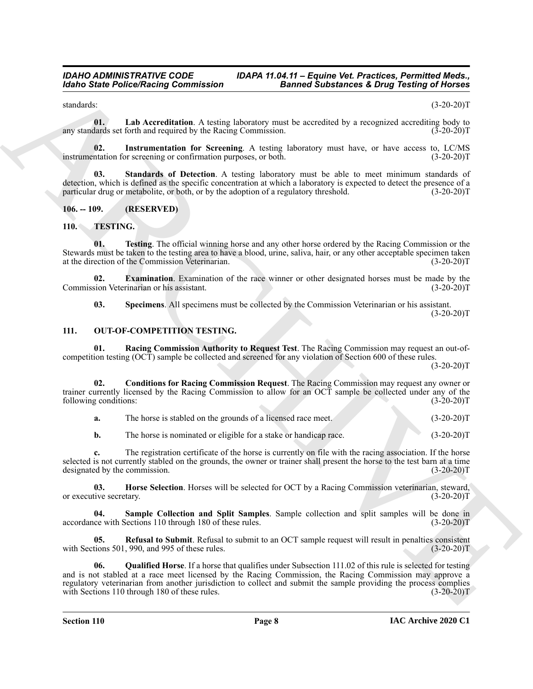<span id="page-7-4"></span>standards: (3-20-20)T

**01. Lab Accreditation**. A testing laboratory must be accredited by a recognized accrediting body to any standards set forth and required by the Racing Commission.

<span id="page-7-3"></span>**02.** Instrumentation for Screening. A testing laboratory must have, or have access to, LC/MS ntation for screening or confirmation purposes, or both.  $(3-20-20)$ instrumentation for screening or confirmation purposes, or both.

<span id="page-7-5"></span>**03. Standards of Detection**. A testing laboratory must be able to meet minimum standards of detection, which is defined as the specific concentration at which a laboratory is expected to detect the presence of a particular drug or metabolite, or both, or by the adoption of a regulatory threshold. (3-20-20)T

#### <span id="page-7-0"></span>**106. -- 109. (RESERVED)**

#### <span id="page-7-13"></span><span id="page-7-1"></span>**110. TESTING.**

<span id="page-7-16"></span>**01. Testing**. The official winning horse and any other horse ordered by the Racing Commission or the Stewards must be taken to the testing area to have a blood, urine, saliva, hair, or any other acceptable specimen taken at the direction of the Commission Veterinarian. (3-20-20)T

**02.** Examination. Examination of the race winner or other designated horses must be made by the sion Veterinarian or his assistant. (3-20-20) Commission Veterinarian or his assistant.

<span id="page-7-15"></span><span id="page-7-14"></span><span id="page-7-10"></span><span id="page-7-6"></span>**03. Specimens**. All specimens must be collected by the Commission Veterinarian or his assistant.  $(3-20-20)T$ 

#### <span id="page-7-2"></span>**111. OUT-OF-COMPETITION TESTING.**

**01. Racing Commission Authority to Request Test**. The Racing Commission may request an out-ofcompetition testing (OCT) sample be collected and screened for any violation of Section 600 of these rules.

 $(3-20-20)T$ 

**02. Conditions for Racing Commission Request**. The Racing Commission may request any owner or trainer currently licensed by the Racing Commission to allow for an OCT sample be collected under any of the following conditions: (3-20-20)T following conditions:

<span id="page-7-7"></span>**a.** The horse is stabled on the grounds of a licensed race meet. (3-20-20)T

<span id="page-7-8"></span>**b.** The horse is nominated or eligible for a stake or handicap race.  $(3-20-20)T$ 

**c.** The registration certificate of the horse is currently on file with the racing association. If the horse selected is not currently stabled on the grounds, the owner or trainer shall present the horse to the test barn at a time designated by the commission. (3-20-20)T

**03. Horse Selection**. Horses will be selected for OCT by a Racing Commission veterinarian, steward, ive secretary. (3-20-20) or executive secretary.

<span id="page-7-12"></span>**04. Sample Collection and Split Samples**. Sample collection and split samples will be done in accordance with Sections 110 through 180 of these rules. (3-20-20)T

<span id="page-7-11"></span><span id="page-7-9"></span>**05. Refusal to Submit**. Refusal to submit to an OCT sample request will result in penalties consistent with Sections 501, 990, and 995 of these rules. (3-20-20)T

Models State Police/Neisland Commutation<br>
states in Association of Boston Commutation<br>
states in Association Action Commutation<br>
states in Association Action Commutation<br>
states in Association Action Commutation<br>
states **06. Qualified Horse**. If a horse that qualifies under Subsection 111.02 of this rule is selected for testing and is not stabled at a race meet licensed by the Racing Commission, the Racing Commission may approve a regulatory veterinarian from another jurisdiction to collect and submit the sample providing the process complies with Sections 110 through 180 of these rules. (3-20-20)T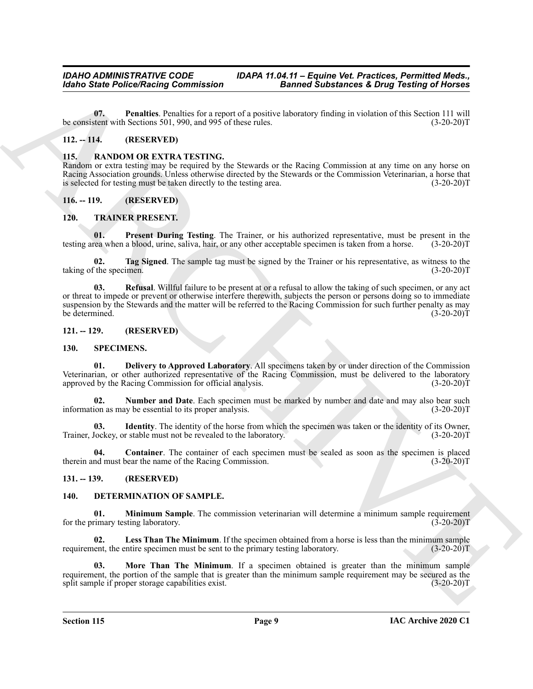<span id="page-8-12"></span>**07. Penalties**. Penalties for a report of a positive laboratory finding in violation of this Section 111 will be consistent with Sections 501, 990, and 995 of these rules. (3-20-20)T

#### <span id="page-8-0"></span>**112. -- 114. (RESERVED)**

#### <span id="page-8-13"></span><span id="page-8-1"></span>**115. RANDOM OR EXTRA TESTING.**

Random or extra testing may be required by the Stewards or the Racing Commission at any time on any horse on Racing Association grounds. Unless otherwise directed by the Stewards or the Commission Veterinarian, a horse that is selected for testing must be taken directly to the testing area. (3-20-20)T

#### <span id="page-8-2"></span>**116. -- 119. (RESERVED)**

#### <span id="page-8-19"></span><span id="page-8-3"></span>**120. TRAINER PRESENT.**

<span id="page-8-20"></span>**01.** Present During Testing. The Trainer, or his authorized representative, must be present in the rea when a blood, urine, saliva, hair, or any other acceptable specimen is taken from a horse. (3-20-20)T testing area when a blood, urine, saliva, hair, or any other acceptable specimen is taken from a horse.

<span id="page-8-22"></span><span id="page-8-21"></span>**02. Tag Signed**. The sample tag must be signed by the Trainer or his representative, as witness to the taking of the specimen. (3-20-20)T

Gorino Static Police/Neising Commission<br>
Units, Parameteri Research Commission<br>
Units, Parameteri Research Commission<br>
Notice The MARCHIVES INTERVIEW (2002)<br>
113. ALANDOM OR EXTENTIFING On Seconds or due Table governance **03. Refusal**. Willful failure to be present at or a refusal to allow the taking of such specimen, or any act or threat to impede or prevent or otherwise interfere therewith, subjects the person or persons doing so to immediate suspension by the Stewards and the matter will be referred to the Racing Commission for such further penalty as may be determined. (3-20-20)T

#### <span id="page-8-4"></span>**121. -- 129. (RESERVED)**

#### <span id="page-8-16"></span><span id="page-8-14"></span><span id="page-8-5"></span>**130. SPECIMENS.**

**01. Delivery to Approved Laboratory**. All specimens taken by or under direction of the Commission Veterinarian, or other authorized representative of the Racing Commission, must be delivered to the laboratory approved by the Racing Commission for official analysis. (3-20-20)T

<span id="page-8-18"></span>**02. Number and Date**. Each specimen must be marked by number and date and may also bear such information as may be essential to its proper analysis. (3-20-20)T

<span id="page-8-17"></span>**03. Identity**. The identity of the horse from which the specimen was taken or the identity of its Owner, Trainer, Jockey, or stable must not be revealed to the laboratory. (3-20-20)T

<span id="page-8-15"></span>**04. Container**. The container of each specimen must be sealed as soon as the specimen is placed therein and must bear the name of the Racing Commission. (3-20-20)T

#### <span id="page-8-6"></span>**131. -- 139. (RESERVED)**

#### <span id="page-8-10"></span><span id="page-8-8"></span><span id="page-8-7"></span>**140. DETERMINATION OF SAMPLE.**

**01. Minimum Sample**. The commission veterinarian will determine a minimum sample requirement rimary testing laboratory. (3-20-20) for the primary testing laboratory.

<span id="page-8-9"></span>**02. Less Than The Minimum**. If the specimen obtained from a horse is less than the minimum sample requirement, the entire specimen must be sent to the primary testing laboratory. (3-20-20)T

<span id="page-8-11"></span>**03. More Than The Minimum**. If a specimen obtained is greater than the minimum sample requirement, the portion of the sample that is greater than the minimum sample requirement may be secured as the split sample if proper storage capabilities exist. split sample if proper storage capabilities exist.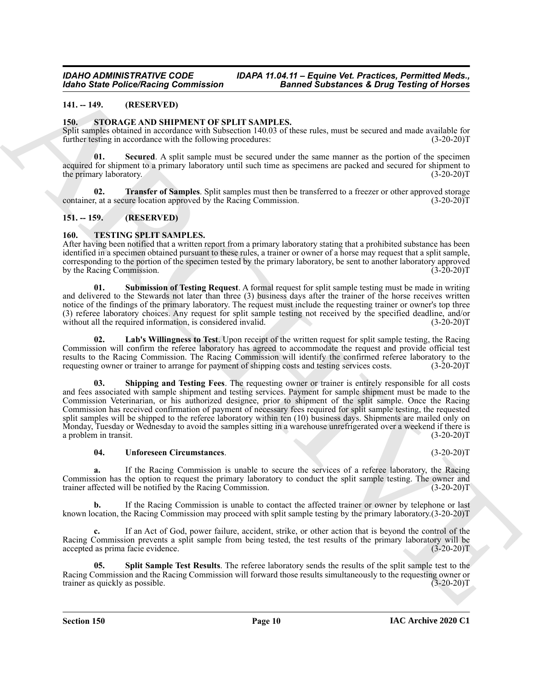#### <span id="page-9-4"></span><span id="page-9-0"></span>**141. -- 149. (RESERVED)**

#### <span id="page-9-1"></span>**150. STORAGE AND SHIPMENT OF SPLIT SAMPLES.**

Split samples obtained in accordance with Subsection 140.03 of these rules, must be secured and made available for further testing in accordance with the following procedures: (3-20-20)T

<span id="page-9-5"></span>**01. Secured**. A split sample must be secured under the same manner as the portion of the specimen acquired for shipment to a primary laboratory until such time as specimens are packed and secured for shipment to the primary laboratory. (3-20-20)T

<span id="page-9-6"></span>**02. Transfer of Samples**. Split samples must then be transferred to a freezer or other approved storage r, at a secure location approved by the Racing Commission. (3-20-20) container, at a secure location approved by the Racing Commission.

#### <span id="page-9-2"></span>**151. -- 159. (RESERVED)**

#### <span id="page-9-7"></span><span id="page-9-3"></span>**160. TESTING SPLIT SAMPLES.**

After having been notified that a written report from a primary laboratory stating that a prohibited substance has been identified in a specimen obtained pursuant to these rules, a trainer or owner of a horse may request that a split sample, corresponding to the portion of the specimen tested by the primary laboratory, be sent to another laboratory approved by the Racing Commission.

<span id="page-9-11"></span>**01. Submission of Testing Request**. A formal request for split sample testing must be made in writing and delivered to the Stewards not later than three (3) business days after the trainer of the horse receives written notice of the findings of the primary laboratory. The request must include the requesting trainer or owner's top three (3) referee laboratory choices. Any request for split sample testing not received by the specified deadline, and/or without all the required information, is considered invalid.

<span id="page-9-9"></span><span id="page-9-8"></span>Lab's Willingness to Test. Upon receipt of the written request for split sample testing, the Racing Commission will confirm the referee laboratory has agreed to accommodate the request and provide official test results to the Racing Commission. The Racing Commission will identify the confirmed referee laboratory to the requesting owner or trainer to arrange for payment of shipping costs and testing services costs. (3-20-20)T requesting owner or trainer to arrange for payment of shipping costs and testing services costs.

Monto Sinne Police Neuron Commutation<br>
14. 19. (Although Commutation Commutation Commutation Sinne Commutation Commutation Commutation Commutation Commutation Commutation Commutation Commutation Commutation Commutation Co **Shipping and Testing Fees**. The requesting owner or trainer is entirely responsible for all costs and fees associated with sample shipment and testing services. Payment for sample shipment must be made to the Commission Veterinarian, or his authorized designee, prior to shipment of the split sample. Once the Racing Commission has received confirmation of payment of necessary fees required for split sample testing, the requested split samples will be shipped to the referee laboratory within ten (10) business days. Shipments are mailed only on Monday, Tuesday or Wednesday to avoid the samples sitting in a warehouse unrefrigerated over a weekend if there is a problem in transit. (3-20-20)T

#### <span id="page-9-12"></span>**04. Unforeseen Circumstances**. (3-20-20)T

**a.** If the Racing Commission is unable to secure the services of a referee laboratory, the Racing Commission has the option to request the primary laboratory to conduct the split sample testing. The owner and trainer affected will be notified by the Racing Commission. (3-20-20)T

**b.** If the Racing Commission is unable to contact the affected trainer or owner by telephone or last known location, the Racing Commission may proceed with split sample testing by the primary laboratory.(3-20-20)T

If an Act of God, power failure, accident, strike, or other action that is beyond the control of the Racing Commission prevents a split sample from being tested, the test results of the primary laboratory will be accepted as prima facie evidence. (3-20-20)T

<span id="page-9-10"></span>**05. Split Sample Test Results**. The referee laboratory sends the results of the split sample test to the Racing Commission and the Racing Commission will forward those results simultaneously to the requesting owner or trainer as quickly as possible. (3-20-20) trainer as quickly as possible.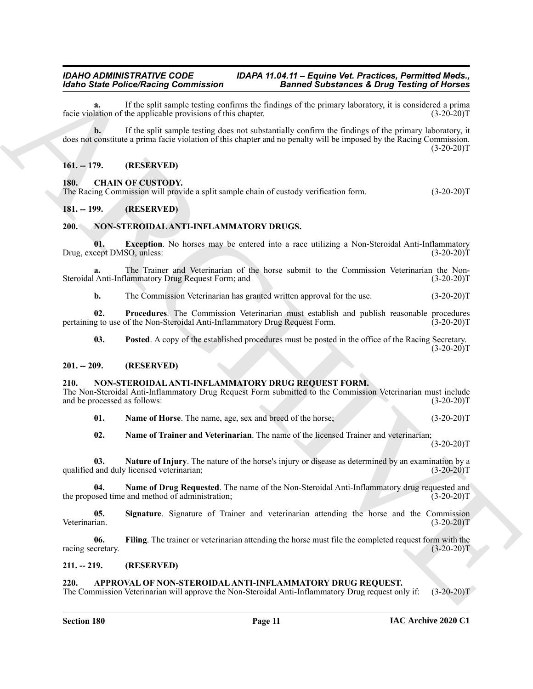If the split sample testing confirms the findings of the primary laboratory, it is considered a prima<br>the applicable provisions of this chapter. (3-20-20)<sup>T</sup> facie violation of the applicable provisions of this chapter.

**Example Perfect Noting Continues that the state of Solid Reness E. Drug Testing of Reness<br>
Line of the split straight continues that the split straight continues the primary line of the split straight continues the spli b.** If the split sample testing does not substantially confirm the findings of the primary laboratory, it does not constitute a prima facie violation of this chapter and no penalty will be imposed by the Racing Commission.  $(3-20-20)T$ 

#### <span id="page-10-0"></span>**161. -- 179. (RESERVED)**

#### <span id="page-10-9"></span><span id="page-10-1"></span>**180. CHAIN OF CUSTODY.**

The Racing Commission will provide a split sample chain of custody verification form. (3-20-20)T

#### <span id="page-10-2"></span>**181. -- 199. (RESERVED)**

#### <span id="page-10-17"></span><span id="page-10-3"></span>**200. NON-STEROIDAL ANTI-INFLAMMATORY DRUGS.**

<span id="page-10-18"></span>**01. Exception**. No horses may be entered into a race utilizing a Non-Steroidal Anti-Inflammatory Drug, except DMSO, unless: (3-20-20)T

**a.** The Trainer and Veterinarian of the horse submit to the Commission Veterinarian the Non-Steroidal Anti-Inflammatory Drug Request Form; and (3-20-20)T

<span id="page-10-20"></span>**b.** The Commission Veterinarian has granted written approval for the use. (3-20-20)T

**02. Procedures**. The Commission Veterinarian must establish and publish reasonable procedures g to use of the Non-Steroidal Anti-Inflammatory Drug Request Form. (3-20-20) pertaining to use of the Non-Steroidal Anti-Inflammatory Drug Request Form.

<span id="page-10-19"></span>**03.** Posted A copy of the established procedures must be posted in the office of the Racing Secretary.

 $(3-20-20)T$ 

#### <span id="page-10-4"></span>**201. -- 209. (RESERVED)**

#### <span id="page-10-10"></span><span id="page-10-5"></span>**210. NON-STEROIDAL ANTI-INFLAMMATORY DRUG REQUEST FORM.**

The Non-Steroidal Anti-Inflammatory Drug Request Form submitted to the Commission Veterinarian must include and be processed as follows:

<span id="page-10-13"></span>**01. Name of Horse**. The name, age, sex and breed of the horse; (3-20-20)T

<span id="page-10-15"></span><span id="page-10-14"></span><span id="page-10-12"></span>**02. Name of Trainer and Veterinarian**. The name of the licensed Trainer and veterinarian;  $(3-20-20)T$ 

**03.** Nature of Injury. The nature of the horse's injury or disease as determined by an examination by a and duly licensed veterinarian; (3-20-20) qualified and duly licensed veterinarian;

**04.** Name of Drug Requested. The name of the Non-Steroidal Anti-Inflammatory drug requested and osed time and method of administration; (3-20-20)T the proposed time and method of administration;

<span id="page-10-16"></span>**05.** Signature. Signature of Trainer and veterinarian attending the horse and the Commission Veterinarian. (3-20-20) Veterinarian. (3-20-20)T

<span id="page-10-11"></span>**06. Filing**. The trainer or veterinarian attending the horse must file the completed request form with the racing secretary. (3-20-20)T

#### <span id="page-10-6"></span>**211. -- 219. (RESERVED)**

#### <span id="page-10-8"></span><span id="page-10-7"></span>**220. APPROVAL OF NON-STEROIDAL ANTI-INFLAMMATORY DRUG REQUEST.**

The Commission Veterinarian will approve the Non-Steroidal Anti-Inflammatory Drug request only if: (3-20-20)T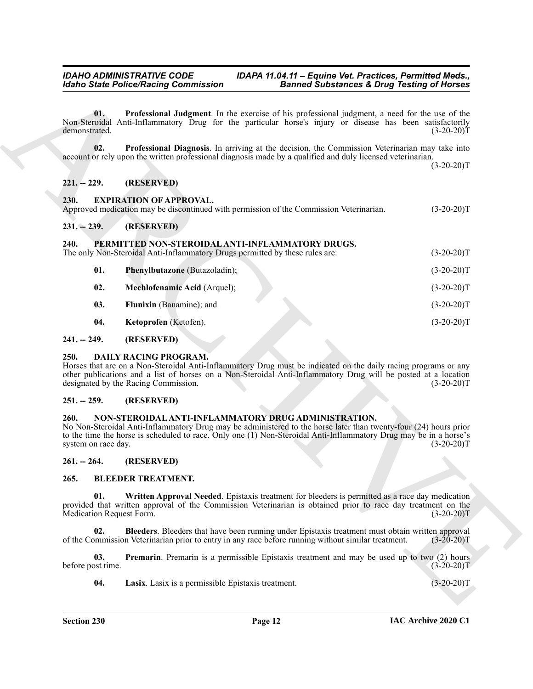#### <span id="page-11-18"></span><span id="page-11-11"></span><span id="page-11-10"></span><span id="page-11-0"></span>**221. -- 229. (RESERVED)**

<span id="page-11-1"></span>

|  | Approved medication may be discontinued with permission of the Commission Veterinarian. | $(3-20-20)T$ |
|--|-----------------------------------------------------------------------------------------|--------------|
|  |                                                                                         |              |

#### <span id="page-11-2"></span>**231. -- 239. (RESERVED)**

# <span id="page-11-24"></span><span id="page-11-23"></span><span id="page-11-20"></span><span id="page-11-3"></span>240. PERMITTED NON-STEROIDAL ANTI-INFLAMMATORY DRUGS.<br>The only Non-Steroidal Anti-Inflammatory Drugs permitted by these rules are:

|                                                                                                                                                 | <b>Idaho State Police/Racing Commission</b>                                                                                      | <b>Banned Substances &amp; Drug Testing of Horses</b>                                                                                                                                                                                 |              |
|-------------------------------------------------------------------------------------------------------------------------------------------------|----------------------------------------------------------------------------------------------------------------------------------|---------------------------------------------------------------------------------------------------------------------------------------------------------------------------------------------------------------------------------------|--------------|
| 01.<br>demonstrated.                                                                                                                            |                                                                                                                                  | Professional Judgment. In the exercise of his professional judgment, a need for the use of the<br>Non-Steroidal Anti-Inflammatory Drug for the particular horse's injury or disease has been satisfactorily                           | $(3-20-20)T$ |
| 02.                                                                                                                                             |                                                                                                                                  | Professional Diagnosis. In arriving at the decision, the Commission Veterinarian may take into<br>account or rely upon the written professional diagnosis made by a qualified and duly licensed veterinarian.                         | $(3-20-20)T$ |
| $221. - 229.$                                                                                                                                   | (RESERVED)                                                                                                                       |                                                                                                                                                                                                                                       |              |
| 230.                                                                                                                                            | <b>EXPIRATION OF APPROVAL.</b>                                                                                                   | Approved medication may be discontinued with permission of the Commission Veterinarian.                                                                                                                                               | $(3-20-20)T$ |
| $231. - 239.$                                                                                                                                   | (RESERVED)                                                                                                                       |                                                                                                                                                                                                                                       |              |
| 240.                                                                                                                                            | PERMITTED NON-STEROIDAL ANTI-INFLAMMATORY DRUGS.<br>The only Non-Steroidal Anti-Inflammatory Drugs permitted by these rules are: |                                                                                                                                                                                                                                       | $(3-20-20)T$ |
| 01.                                                                                                                                             | Phenylbutazone (Butazoladin);                                                                                                    |                                                                                                                                                                                                                                       | $(3-20-20)T$ |
| 02.                                                                                                                                             | Mechlofenamic Acid (Arquel);                                                                                                     |                                                                                                                                                                                                                                       | $(3-20-20)T$ |
| 03.                                                                                                                                             | Flunixin (Banamine); and                                                                                                         |                                                                                                                                                                                                                                       | $(3-20-20)T$ |
| 04.                                                                                                                                             | Ketoprofen (Ketofen).                                                                                                            |                                                                                                                                                                                                                                       | $(3-20-20)T$ |
| $241. - 249.$                                                                                                                                   | (RESERVED)                                                                                                                       |                                                                                                                                                                                                                                       |              |
| 250.                                                                                                                                            | <b>DAILY RACING PROGRAM.</b><br>designated by the Racing Commission.                                                             | Horses that are on a Non-Steroidal Anti-Inflammatory Drug must be indicated on the daily racing programs or any<br>other publications and a list of horses on a Non-Steroidal Anti-Inflammatory Drug will be posted at a location     | $(3-20-20)T$ |
| $251. - 259.$                                                                                                                                   | (RESERVED)                                                                                                                       |                                                                                                                                                                                                                                       |              |
| 260.<br>system on race day.                                                                                                                     | NON-STEROIDAL ANTI-INFLAMMATORY DRUG ADMINISTRATION.                                                                             | No Non-Steroidal Anti-Inflammatory Drug may be administered to the horse later than twenty-four (24) hours prior<br>to the time the horse is scheduled to race. Only one (1) Non-Steroidal Anti-Inflammatory Drug may be in a horse's | $(3-20-20)T$ |
| $261. - 264.$                                                                                                                                   | (RESERVED)                                                                                                                       |                                                                                                                                                                                                                                       |              |
| 265.                                                                                                                                            | <b>BLEEDER TREATMENT.</b>                                                                                                        |                                                                                                                                                                                                                                       |              |
| 01.<br>provided that written approval of the Commission Veterinarian is obtained prior to race day treatment on the<br>Medication Request Form. |                                                                                                                                  | Written Approval Needed. Epistaxis treatment for bleeders is permitted as a race day medication                                                                                                                                       | $(3-20-20)T$ |
| 02.                                                                                                                                             |                                                                                                                                  | Bleeders. Bleeders that have been running under Epistaxis treatment must obtain written approval<br>of the Commission Veterinarian prior to entry in any race before running without similar treatment.                               | $(3-20-20)T$ |
| 03.                                                                                                                                             |                                                                                                                                  | <b>Premarin</b> . Premarin is a permissible Epistaxis treatment and may be used up to two (2) hours                                                                                                                                   | $(3-20-20)T$ |
| before post time.                                                                                                                               |                                                                                                                                  |                                                                                                                                                                                                                                       |              |

# <span id="page-11-22"></span><span id="page-11-21"></span><span id="page-11-4"></span>**241. -- 249. (RESERVED)**

#### <span id="page-11-17"></span><span id="page-11-5"></span>**250. DAILY RACING PROGRAM.**

#### <span id="page-11-6"></span>**251. -- 259. (RESERVED)**

#### <span id="page-11-19"></span><span id="page-11-7"></span>**260. NON-STEROIDAL ANTI-INFLAMMATORY DRUG ADMINISTRATION.**

#### <span id="page-11-16"></span><span id="page-11-15"></span><span id="page-11-14"></span><span id="page-11-13"></span><span id="page-11-12"></span><span id="page-11-9"></span><span id="page-11-8"></span>**265. BLEEDER TREATMENT.**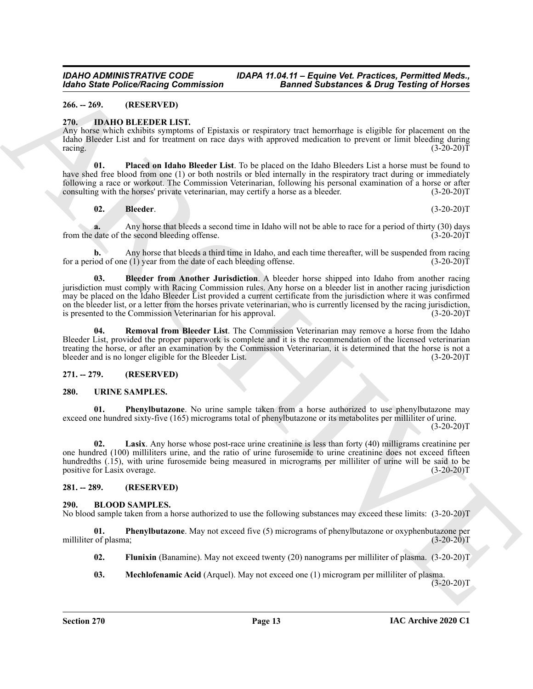#### <span id="page-12-0"></span>**266. -- 269. (RESERVED)**

#### <span id="page-12-10"></span><span id="page-12-1"></span>**270. IDAHO BLEEDER LIST.**

Any horse which exhibits symptoms of Epistaxis or respiratory tract hemorrhage is eligible for placement on the Idaho Bleeder List and for treatment on race days with approved medication to prevent or limit bleeding during racing.  $(3-20-20)T$ 

**01. Placed on Idaho Bleeder List**. To be placed on the Idaho Bleeders List a horse must be found to have shed free blood from one (1) or both nostrils or bled internally in the respiratory tract during or immediately following a race or workout. The Commission Veterinarian, following his personal examination of a horse or after consulting with the horses' private veterinarian, may certify a horse as a bleeder. (3-20-20) consulting with the horses' private veterinarian, may certify a horse as a bleeder.

<span id="page-12-13"></span><span id="page-12-11"></span>**02. Bleeder**. (3-20-20)T

Any horse that bleeds a second time in Idaho will not be able to race for a period of thirty (30) days ne second bleeding offense. (3-20-20)<sup>T</sup> from the date of the second bleeding offense.

<span id="page-12-12"></span>**b.** Any horse that bleeds a third time in Idaho, and each time thereafter, will be suspended from racing for a period of one (1) year from the date of each bleeding offense. (3-20-20)T

Models State Police Nearly Governization<br>
28 metal2 and the state Police Nearly Computer and Research the homology of the state of the state of the state of the state of the state of the state of the state of the state of **03. Bleeder from Another Jurisdiction**. A bleeder horse shipped into Idaho from another racing jurisdiction must comply with Racing Commission rules. Any horse on a bleeder list in another racing jurisdiction may be placed on the Idaho Bleeder List provided a current certificate from the jurisdiction where it was confirmed on the bleeder list, or a letter from the horses private veterinarian, who is currently licensed by the racing jurisdiction, is presented to the Commission Veterinarian for his approval. (3-20-20)T

<span id="page-12-14"></span>**04. Removal from Bleeder List**. The Commission Veterinarian may remove a horse from the Idaho Bleeder List, provided the proper paperwork is complete and it is the recommendation of the licensed veterinarian treating the horse, or after an examination by the Commission Veterinarian, it is determined that the horse is not a bleeder and is no longer eligible for the Bleeder List. (3-20-20)T

#### <span id="page-12-2"></span>**271. -- 279. (RESERVED)**

#### <span id="page-12-15"></span><span id="page-12-3"></span>**280. URINE SAMPLES.**

<span id="page-12-17"></span>**01. Phenylbutazone**. No urine sample taken from a horse authorized to use phenylbutazone may exceed one hundred sixty-five (165) micrograms total of phenylbutazone or its metabolites per milliliter of urine.  $(3-20-20)T$ 

<span id="page-12-16"></span>**02. Lasix**. Any horse whose post-race urine creatinine is less than forty (40) milligrams creatinine per one hundred (100) milliliters urine, and the ratio of urine furosemide to urine creatinine does not exceed fifteen hundredths (.15), with urine furosemide being measured in micrograms per milliliter of urine will be said to be positive for Lasix overage. (3-20-20)T

#### <span id="page-12-4"></span>**281. -- 289. (RESERVED)**

#### <span id="page-12-6"></span><span id="page-12-5"></span>**290. BLOOD SAMPLES.**

No blood sample taken from a horse authorized to use the following substances may exceed these limits: (3-20-20)T

**01. Phenylbutazone**. May not exceed five (5) micrograms of phenylbutazone or oxyphenbutazone per milliliter of plasma; (3-20-20)T

- <span id="page-12-9"></span><span id="page-12-7"></span>**02. Flunixin** (Banamine). May not exceed twenty (20) nanograms per milliliter of plasma. (3-20-20)T
- <span id="page-12-8"></span>**03. Mechlofenamic Acid** (Arquel). May not exceed one (1) microgram per milliliter of plasma.

 $(3-20-20)T$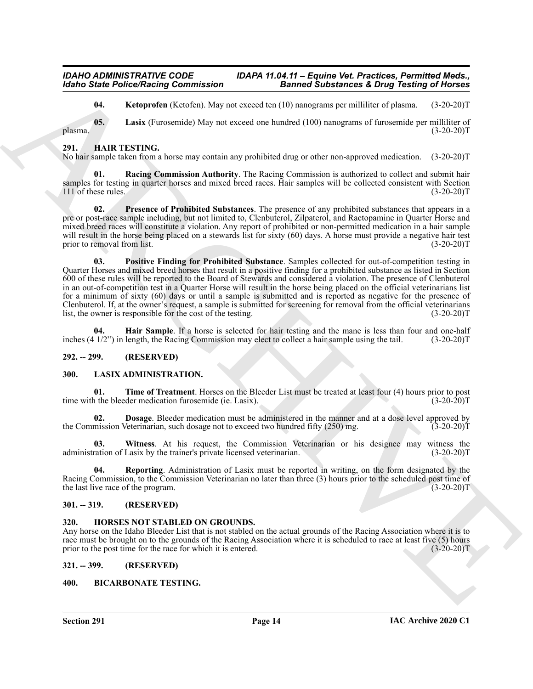<span id="page-13-9"></span><span id="page-13-8"></span>**04.** Ketoprofen (Ketofen). May not exceed ten (10) nanograms per milliliter of plasma. (3-20-20)T

**05. Lasix** (Furosemide) May not exceed one hundred (100) nanograms of furosemide per milliliter of plasma. (3-20-20)T

#### <span id="page-13-10"></span><span id="page-13-0"></span>**291. HAIR TESTING.**

No hair sample taken from a horse may contain any prohibited drug or other non-approved medication. (3-20-20)T

<span id="page-13-14"></span>**Racing Commission Authority**. The Racing Commission is authorized to collect and submit hair samples for testing in quarter horses and mixed breed races. Hair samples will be collected consistent with Section 111 of these rules. (3-20-20)T

<span id="page-13-13"></span><span id="page-13-12"></span>**02. Presence of Prohibited Substances**. The presence of any prohibited substances that appears in a pre or post-race sample including, but not limited to, Clenbuterol, Zilpaterol, and Ractopamine in Quarter Horse and mixed breed races will constitute a violation. Any report of prohibited or non-permitted medication in a hair sample will result in the horse being placed on a stewards list for sixty (60) days. A horse must provide a negative hair test<br>(3-20-20)T prior to removal from list.

Moind State Police/Reising Commission<br>
Using State Police/Reising Commission<br>
Using the Computer Motion Most and control (10) mangement of the deterministic (15) and<br>
Hills are the state police and the state of the state **03. Positive Finding for Prohibited Substance**. Samples collected for out-of-competition testing in Quarter Horses and mixed breed horses that result in a positive finding for a prohibited substance as listed in Section 600 of these rules will be reported to the Board of Stewards and considered a violation. The presence of Clenbuterol in an out-of-competition test in a Quarter Horse will result in the horse being placed on the official veterinarians list for a minimum of sixty (60) days or until a sample is submitted and is reported as negative for the presence of Clenbuterol. If, at the owner's request, a sample is submitted for screening for removal from the official veterinarians list, the owner is responsible for the cost of the testing. (3-20-20)T

<span id="page-13-11"></span>**04. Hair Sample**. If a horse is selected for hair testing and the mane is less than four and one-half  $\frac{1}{2}$  in length, the Racing Commission may elect to collect a hair sample using the tail. (3-20-20)T inches  $(4\frac{1}{2})$  in length, the Racing Commission may elect to collect a hair sample using the tail.

#### <span id="page-13-1"></span>**292. -- 299. (RESERVED)**

#### <span id="page-13-16"></span><span id="page-13-2"></span>**300. LASIX ADMINISTRATION.**

<span id="page-13-19"></span>**01.** Time of Treatment. Horses on the Bleeder List must be treated at least four (4) hours prior to post h the bleeder medication furosemide (ie. Lasix). time with the bleeder medication furosemide (ie. Lasix).

<span id="page-13-17"></span>**02. Dosage**. Bleeder medication must be administered in the manner and at a dose level approved by the Commission Veterinarian, such dosage not to exceed two hundred fifty  $(250)$  mg.  $(3-20-20)$ T

<span id="page-13-20"></span>**03.** Witness. At his request, the Commission Veterinarian or his designee may witness the ration of Lasix by the trainer's private licensed veterinarian. (3-20-20) administration of Lasix by the trainer's private licensed veterinarian.

<span id="page-13-18"></span>**04. Reporting**. Administration of Lasix must be reported in writing, on the form designated by the Racing Commission, to the Commission Veterinarian no later than three (3) hours prior to the scheduled post time of the last live race of the program. (3-20-20)T

#### <span id="page-13-3"></span>**301. -- 319. (RESERVED)**

### <span id="page-13-15"></span><span id="page-13-4"></span>**320. HORSES NOT STABLED ON GROUNDS.**

Any horse on the Idaho Bleeder List that is not stabled on the actual grounds of the Racing Association where it is to race must be brought on to the grounds of the Racing Association where it is scheduled to race at least five (5) hours prior to the post time for the race for which it is entered. (3-20-20)T

#### <span id="page-13-5"></span>**321. -- 399. (RESERVED)**

#### <span id="page-13-7"></span><span id="page-13-6"></span>**400. BICARBONATE TESTING.**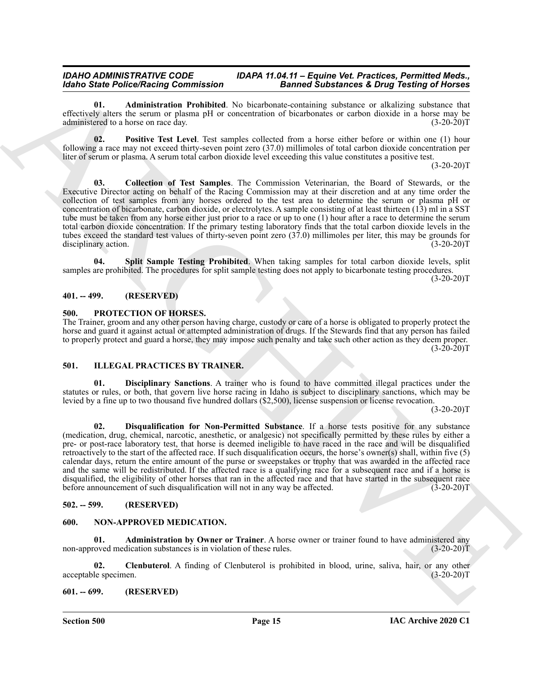<span id="page-14-6"></span>**01. Administration Prohibited**. No bicarbonate-containing substance or alkalizing substance that effectively alters the serum or plasma pH or concentration of bicarbonates or carbon dioxide in a horse may be administered to a horse on race day. (3-20-20)T

<span id="page-14-8"></span>**02. Positive Test Level**. Test samples collected from a horse either before or within one (1) hour following a race may not exceed thirty-seven point zero (37.0) millimoles of total carbon dioxide concentration per liter of serum or plasma. A serum total carbon dioxide level exceeding this value constitutes a positive test.

 $(3-20-20)T$ 

<span id="page-14-7"></span>**03. Collection of Test Samples**. The Commission Veterinarian, the Board of Stewards, or the Executive Director acting on behalf of the Racing Commission may at their discretion and at any time order the collection of test samples from any horses ordered to the test area to determine the serum or plasma pH or concentration of bicarbonate, carbon dioxide, or electrolytes. A sample consisting of at least thirteen (13) ml in a SST tube must be taken from any horse either just prior to a race or up to one (1) hour after a race to determine the serum total carbon dioxide concentration. If the primary testing laboratory finds that the total carbon dioxide levels in the tubes exceed the standard test values of thirty-seven point zero  $(37.0)$  millimoles per liter, this may be grounds for disciplinary action.  $(3-20-20)$ disciplinary action.

<span id="page-14-9"></span>**04. Split Sample Testing Prohibited**. When taking samples for total carbon dioxide levels, split samples are prohibited. The procedures for split sample testing does not apply to bicarbonate testing procedures.

 $(3-20-20)T$ 

#### <span id="page-14-0"></span>**401. -- 499. (RESERVED)**

#### <span id="page-14-16"></span><span id="page-14-1"></span>**500. PROTECTION OF HORSES.**

The Trainer, groom and any other person having charge, custody or care of a horse is obligated to properly protect the horse and guard it against actual or attempted administration of drugs. If the Stewards find that any person has failed to properly protect and guard a horse, they may impose such penalty and take such other action as they deem proper.  $(3-20-20)T$ 

#### <span id="page-14-10"></span><span id="page-14-2"></span>**501. ILLEGAL PRACTICES BY TRAINER.**

<span id="page-14-12"></span><span id="page-14-11"></span>**01. Disciplinary Sanctions**. A trainer who is found to have committed illegal practices under the statutes or rules, or both, that govern live horse racing in Idaho is subject to disciplinary sanctions, which may be levied by a fine up to two thousand five hundred dollars (\$2,500), license suspension or license revocation.

 $(3-20-20)T$ 

Identified State Perform State into the phase of the state and scheme of the state into the state into the state into the state into the state into the state into the state into the state into the state into the state in **02. Disqualification for Non-Permitted Substance**. If a horse tests positive for any substance (medication, drug, chemical, narcotic, anesthetic, or analgesic) not specifically permitted by these rules by either a pre- or post-race laboratory test, that horse is deemed ineligible to have raced in the race and will be disqualified retroactively to the start of the affected race. If such disqualification occurs, the horse's owner(s) shall, within five (5) calendar days, return the entire amount of the purse or sweepstakes or trophy that was awarded in the affected race and the same will be redistributed. If the affected race is a qualifying race for a subsequent race and if a horse is disqualified, the eligibility of other horses that ran in the affected race and that have started in the subsequent race before announcement of such disqualification will not in any way be affected.  $(3-20-20)$ T

#### <span id="page-14-3"></span>**502. -- 599. (RESERVED)**

#### <span id="page-14-13"></span><span id="page-14-4"></span>**600. NON-APPROVED MEDICATION.**

<span id="page-14-14"></span>**01. Administration by Owner or Trainer**. A horse owner or trainer found to have administered any non-approved medication substances is in violation of these rules. (3-20-20)T

<span id="page-14-15"></span>**02. Clenbuterol**. A finding of Clenbuterol is prohibited in blood, urine, saliva, hair, or any other acceptable specimen. (3-20-20)T

#### <span id="page-14-5"></span>**601. -- 699. (RESERVED)**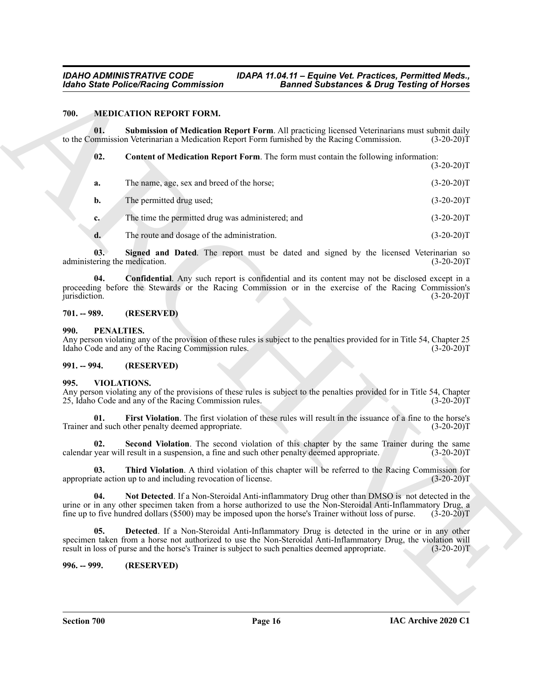#### <span id="page-15-10"></span><span id="page-15-8"></span><span id="page-15-6"></span><span id="page-15-0"></span>**700. MEDICATION REPORT FORM.**

| 700.<br><b>MEDICATION REPORT FORM.</b><br>01.<br>Submission of Medication Report Form. All practicing licensed Veterinarians must submit daily<br>to the Commission Veterinarian a Medication Report Form furnished by the Racing Commission.<br>02.<br><b>Content of Medication Report Form.</b> The form must contain the following information:<br>The name, age, sex and breed of the horse;<br>a.<br>The permitted drug used;<br>b.<br>The time the permitted drug was administered; and<br>c.<br>The route and dosage of the administration.<br>d.<br>Signed and Dated. The report must be dated and signed by the licensed Veterinarian so<br>03.<br>administering the medication.<br><b>Confidential.</b> Any such report is confidential and its content may not be disclosed except in a<br>04.<br>proceeding before the Stewards or the Racing Commission or in the exercise of the Racing Commission's<br>jurisdiction.<br>(RESERVED)<br>$701. - 989.$<br>PENALTIES.<br>990.<br>Any person violating any of the provision of these rules is subject to the penalties provided for in Title 54, Chapter 25<br>Idaho Code and any of the Racing Commission rules.<br>$991. - 994.$<br>(RESERVED)<br>VIOLATIONS.<br>995.<br>Any person violating any of the provisions of these rules is subject to the penalties provided for in Title 54, Chapter<br>25, Idaho Code and any of the Racing Commission rules.<br>First Violation. The first violation of these rules will result in the issuance of a fine to the horse's<br>01.<br>Trainer and such other penalty deemed appropriate.<br>Second Violation. The second violation of this chapter by the same Trainer during the same<br>02.<br>calendar year will result in a suspension, a fine and such other penalty deemed appropriate.<br>Third Violation. A third violation of this chapter will be referred to the Racing Commission for<br>03.<br>appropriate action up to and including revocation of license.<br>04.<br>Not Detected. If a Non-Steroidal Anti-inflammatory Drug other than DMSO is not detected in the<br>urine or in any other specimen taken from a horse authorized to use the Non-Steroidal Anti-Inflammatory Drug, a<br>fine up to five hundred dollars (\$500) may be imposed upon the horse's Trainer without loss of purse.<br>05.<br><b>Detected.</b> If a Non-Steroidal Anti-Inflammatory Drug is detected in the urine or in any other<br>specimen taken from a horse not authorized to use the Non-Steroidal Anti-Inflammatory Drug, the violation will<br>result in loss of purse and the horse's Trainer is subject to such penalties deemed appropriate.<br>996. -- 999.<br>(RESERVED) | <b>Idaho State Police/Racing Commission</b> | <b>Banned Substances &amp; Drug Testing of Horses</b> |               |
|------------------------------------------------------------------------------------------------------------------------------------------------------------------------------------------------------------------------------------------------------------------------------------------------------------------------------------------------------------------------------------------------------------------------------------------------------------------------------------------------------------------------------------------------------------------------------------------------------------------------------------------------------------------------------------------------------------------------------------------------------------------------------------------------------------------------------------------------------------------------------------------------------------------------------------------------------------------------------------------------------------------------------------------------------------------------------------------------------------------------------------------------------------------------------------------------------------------------------------------------------------------------------------------------------------------------------------------------------------------------------------------------------------------------------------------------------------------------------------------------------------------------------------------------------------------------------------------------------------------------------------------------------------------------------------------------------------------------------------------------------------------------------------------------------------------------------------------------------------------------------------------------------------------------------------------------------------------------------------------------------------------------------------------------------------------------------------------------------------------------------------------------------------------------------------------------------------------------------------------------------------------------------------------------------------------------------------------------------------------------------------------------------------------------------------------------------------------------------------------------------------------------------------------------------------------------------------------------------------------------------------------------------------------------------------------|---------------------------------------------|-------------------------------------------------------|---------------|
|                                                                                                                                                                                                                                                                                                                                                                                                                                                                                                                                                                                                                                                                                                                                                                                                                                                                                                                                                                                                                                                                                                                                                                                                                                                                                                                                                                                                                                                                                                                                                                                                                                                                                                                                                                                                                                                                                                                                                                                                                                                                                                                                                                                                                                                                                                                                                                                                                                                                                                                                                                                                                                                                                          |                                             |                                                       |               |
|                                                                                                                                                                                                                                                                                                                                                                                                                                                                                                                                                                                                                                                                                                                                                                                                                                                                                                                                                                                                                                                                                                                                                                                                                                                                                                                                                                                                                                                                                                                                                                                                                                                                                                                                                                                                                                                                                                                                                                                                                                                                                                                                                                                                                                                                                                                                                                                                                                                                                                                                                                                                                                                                                          |                                             |                                                       | $(3-20-20)T$  |
|                                                                                                                                                                                                                                                                                                                                                                                                                                                                                                                                                                                                                                                                                                                                                                                                                                                                                                                                                                                                                                                                                                                                                                                                                                                                                                                                                                                                                                                                                                                                                                                                                                                                                                                                                                                                                                                                                                                                                                                                                                                                                                                                                                                                                                                                                                                                                                                                                                                                                                                                                                                                                                                                                          |                                             |                                                       | $(3-20-20)T$  |
|                                                                                                                                                                                                                                                                                                                                                                                                                                                                                                                                                                                                                                                                                                                                                                                                                                                                                                                                                                                                                                                                                                                                                                                                                                                                                                                                                                                                                                                                                                                                                                                                                                                                                                                                                                                                                                                                                                                                                                                                                                                                                                                                                                                                                                                                                                                                                                                                                                                                                                                                                                                                                                                                                          |                                             |                                                       | $(3-20-20)T$  |
|                                                                                                                                                                                                                                                                                                                                                                                                                                                                                                                                                                                                                                                                                                                                                                                                                                                                                                                                                                                                                                                                                                                                                                                                                                                                                                                                                                                                                                                                                                                                                                                                                                                                                                                                                                                                                                                                                                                                                                                                                                                                                                                                                                                                                                                                                                                                                                                                                                                                                                                                                                                                                                                                                          |                                             |                                                       | $(3-20-20)T$  |
|                                                                                                                                                                                                                                                                                                                                                                                                                                                                                                                                                                                                                                                                                                                                                                                                                                                                                                                                                                                                                                                                                                                                                                                                                                                                                                                                                                                                                                                                                                                                                                                                                                                                                                                                                                                                                                                                                                                                                                                                                                                                                                                                                                                                                                                                                                                                                                                                                                                                                                                                                                                                                                                                                          |                                             |                                                       | $(3-20-20)T$  |
|                                                                                                                                                                                                                                                                                                                                                                                                                                                                                                                                                                                                                                                                                                                                                                                                                                                                                                                                                                                                                                                                                                                                                                                                                                                                                                                                                                                                                                                                                                                                                                                                                                                                                                                                                                                                                                                                                                                                                                                                                                                                                                                                                                                                                                                                                                                                                                                                                                                                                                                                                                                                                                                                                          |                                             |                                                       | $(3-20-20)T$  |
|                                                                                                                                                                                                                                                                                                                                                                                                                                                                                                                                                                                                                                                                                                                                                                                                                                                                                                                                                                                                                                                                                                                                                                                                                                                                                                                                                                                                                                                                                                                                                                                                                                                                                                                                                                                                                                                                                                                                                                                                                                                                                                                                                                                                                                                                                                                                                                                                                                                                                                                                                                                                                                                                                          |                                             |                                                       | $(3-20-20)T$  |
|                                                                                                                                                                                                                                                                                                                                                                                                                                                                                                                                                                                                                                                                                                                                                                                                                                                                                                                                                                                                                                                                                                                                                                                                                                                                                                                                                                                                                                                                                                                                                                                                                                                                                                                                                                                                                                                                                                                                                                                                                                                                                                                                                                                                                                                                                                                                                                                                                                                                                                                                                                                                                                                                                          |                                             |                                                       | $(3-20-20)T$  |
|                                                                                                                                                                                                                                                                                                                                                                                                                                                                                                                                                                                                                                                                                                                                                                                                                                                                                                                                                                                                                                                                                                                                                                                                                                                                                                                                                                                                                                                                                                                                                                                                                                                                                                                                                                                                                                                                                                                                                                                                                                                                                                                                                                                                                                                                                                                                                                                                                                                                                                                                                                                                                                                                                          |                                             |                                                       |               |
|                                                                                                                                                                                                                                                                                                                                                                                                                                                                                                                                                                                                                                                                                                                                                                                                                                                                                                                                                                                                                                                                                                                                                                                                                                                                                                                                                                                                                                                                                                                                                                                                                                                                                                                                                                                                                                                                                                                                                                                                                                                                                                                                                                                                                                                                                                                                                                                                                                                                                                                                                                                                                                                                                          |                                             |                                                       | $(3-20-20)T$  |
|                                                                                                                                                                                                                                                                                                                                                                                                                                                                                                                                                                                                                                                                                                                                                                                                                                                                                                                                                                                                                                                                                                                                                                                                                                                                                                                                                                                                                                                                                                                                                                                                                                                                                                                                                                                                                                                                                                                                                                                                                                                                                                                                                                                                                                                                                                                                                                                                                                                                                                                                                                                                                                                                                          |                                             |                                                       |               |
|                                                                                                                                                                                                                                                                                                                                                                                                                                                                                                                                                                                                                                                                                                                                                                                                                                                                                                                                                                                                                                                                                                                                                                                                                                                                                                                                                                                                                                                                                                                                                                                                                                                                                                                                                                                                                                                                                                                                                                                                                                                                                                                                                                                                                                                                                                                                                                                                                                                                                                                                                                                                                                                                                          |                                             |                                                       | $(3-20-20)T$  |
|                                                                                                                                                                                                                                                                                                                                                                                                                                                                                                                                                                                                                                                                                                                                                                                                                                                                                                                                                                                                                                                                                                                                                                                                                                                                                                                                                                                                                                                                                                                                                                                                                                                                                                                                                                                                                                                                                                                                                                                                                                                                                                                                                                                                                                                                                                                                                                                                                                                                                                                                                                                                                                                                                          |                                             |                                                       | $(3-20-20)T$  |
|                                                                                                                                                                                                                                                                                                                                                                                                                                                                                                                                                                                                                                                                                                                                                                                                                                                                                                                                                                                                                                                                                                                                                                                                                                                                                                                                                                                                                                                                                                                                                                                                                                                                                                                                                                                                                                                                                                                                                                                                                                                                                                                                                                                                                                                                                                                                                                                                                                                                                                                                                                                                                                                                                          |                                             |                                                       | $(3-20-20)$ T |
|                                                                                                                                                                                                                                                                                                                                                                                                                                                                                                                                                                                                                                                                                                                                                                                                                                                                                                                                                                                                                                                                                                                                                                                                                                                                                                                                                                                                                                                                                                                                                                                                                                                                                                                                                                                                                                                                                                                                                                                                                                                                                                                                                                                                                                                                                                                                                                                                                                                                                                                                                                                                                                                                                          |                                             |                                                       | $(3-20-20)T$  |
|                                                                                                                                                                                                                                                                                                                                                                                                                                                                                                                                                                                                                                                                                                                                                                                                                                                                                                                                                                                                                                                                                                                                                                                                                                                                                                                                                                                                                                                                                                                                                                                                                                                                                                                                                                                                                                                                                                                                                                                                                                                                                                                                                                                                                                                                                                                                                                                                                                                                                                                                                                                                                                                                                          |                                             |                                                       | $(3-20-20)T$  |
|                                                                                                                                                                                                                                                                                                                                                                                                                                                                                                                                                                                                                                                                                                                                                                                                                                                                                                                                                                                                                                                                                                                                                                                                                                                                                                                                                                                                                                                                                                                                                                                                                                                                                                                                                                                                                                                                                                                                                                                                                                                                                                                                                                                                                                                                                                                                                                                                                                                                                                                                                                                                                                                                                          |                                             |                                                       | $(3-20-20)T$  |
|                                                                                                                                                                                                                                                                                                                                                                                                                                                                                                                                                                                                                                                                                                                                                                                                                                                                                                                                                                                                                                                                                                                                                                                                                                                                                                                                                                                                                                                                                                                                                                                                                                                                                                                                                                                                                                                                                                                                                                                                                                                                                                                                                                                                                                                                                                                                                                                                                                                                                                                                                                                                                                                                                          |                                             |                                                       |               |
|                                                                                                                                                                                                                                                                                                                                                                                                                                                                                                                                                                                                                                                                                                                                                                                                                                                                                                                                                                                                                                                                                                                                                                                                                                                                                                                                                                                                                                                                                                                                                                                                                                                                                                                                                                                                                                                                                                                                                                                                                                                                                                                                                                                                                                                                                                                                                                                                                                                                                                                                                                                                                                                                                          |                                             |                                                       |               |

#### <span id="page-15-9"></span><span id="page-15-7"></span><span id="page-15-1"></span>**701. -- 989. (RESERVED)**

#### <span id="page-15-11"></span><span id="page-15-2"></span>**990. PENALTIES.**

#### <span id="page-15-3"></span>**991. -- 994. (RESERVED)**

#### <span id="page-15-17"></span><span id="page-15-16"></span><span id="page-15-14"></span><span id="page-15-12"></span><span id="page-15-4"></span>**995. VIOLATIONS.**

#### <span id="page-15-15"></span><span id="page-15-13"></span><span id="page-15-5"></span>**996. -- 999. (RESERVED)**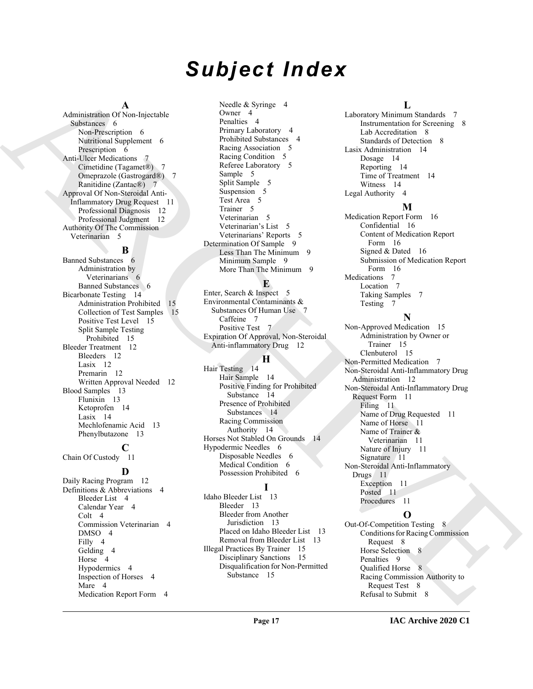# *Subject Index*

#### **A**

Administration Of Non-Injectable Substances 6 Non-Prescription 6 Nutritional Supplement 6 Prescription 6 Anti-Ulcer Medications 7 Cimetidine (Tagamet®) 7 Omeprazole (Gastrogard®) 7 Ranitidine (Zantac®) 7 Approval Of Non-Steroidal Anti-Inflammatory Drug Request 11 Professional Diagnosis 12 Professional Judgment 12 Authority Of The Commission Veterinarian 5

#### **B**

Banned Substances 6 Administration by Veterinarians 6 Banned Substances 6 Bicarbonate Testing 14 Administration Prohibited 15 Collection of Test Samples 15 Positive Test Level 15 Split Sample Testing Prohibited 15 Bleeder Treatment 12 Bleeders 12 Lasix 12 Premarin 12 Written Approval Needed 12 Blood Samples 13 Flunixin 13 Ketoprofen 14 Lasix 14 Mechlofenamic Acid 13 Phenylbutazone 13

#### **C** Chain Of Custody 11

**D** Daily Racing Program 12 Definitions & Abbreviations 4 Bleeder List 4 Calendar Year 4 Colt 4 Commission Veterinarian 4 DMSO 4 Filly 4 Gelding 4 Horse 4 Hypodermics 4 Inspection of Horses 4 Mare 4 Medication Report Form 4

Needle & Syringe 4 Owner 4 Penalties 4 Primary Laboratory 4 Prohibited Substances 4 Racing Association 5 Racing Condition 5 Referee Laboratory 5 Sample 5 Split Sample 5 Suspension 5 Test Area 5 Trainer 5 Veterinarian 5 Veterinarian's List 5 Veterinarians' Reports 5 Determination Of Sample 9 Less Than The Minimum 9 Minimum Sample 9 More Than The Minimum 9

#### **E**

Enter, Search & Inspect 5 Environmental Contaminants & Substances Of Human Use 7 Caffeine 7 Positive Test 7 Expiration Of Approval, Non-Steroidal Anti-inflammatory Drug 12

#### **H**

Hair Testing 14 Hair Sample 14 Positive Finding for Prohibited Substance 14 Presence of Prohibited Substances 14 Racing Commission Authority 14 Horses Not Stabled On Grounds 14 Hypodermic Needles 6 Disposable Needles 6 Medical Condition 6 Possession Prohibited 6

#### **I**

Idaho Bleeder List 13 Bleeder 13 Bleeder from Another Jurisdiction 13 Placed on Idaho Bleeder List 13 Removal from Bleeder List 13 Illegal Practices By Trainer 15 Disciplinary Sanctions 15 Disqualification for Non-Permitted Substance 15

#### **L**

Laboratory Minimum Standards 7 Instrumentation for Screening 8 Lab Accreditation 8 Standards of Detection 8 Lasix Administration 14 Dosage 14 Reporting 14 Time of Treatment 14 Witness 14 Legal Authority 4

#### **M**

Medication Report Form 16 Confidential 16 Content of Medication Report Form 16 Signed & Dated 16 Submission of Medication Report Form 16 Medications 7 Location 7 Taking Samples 7 Testing 7

### **N**

[A](#page-5-8)dministration Chemical Control (State Syring) a considerable de mais de la considerable de mais de la considerable de mais de mais de la considerable de mais de la considerable de mais de la considerable de mais de la co Non-Approved Medication 15 Administration by Owner or Trainer 15 Clenbuterol 15 Non-Permitted Medication 7 Non-Steroidal Anti-Inflammatory Drug Administration 12 Non-Steroidal Anti-Inflammatory Drug Request Form 11 Filing 11 Name of Drug Requested 11 Name of Horse 11 Name of Trainer & Veterinarian 11 Nature of Injury 11 Signature 11 Non-Steroidal Anti-Inflammatory Drugs 11 Exception 11 Posted 11 Procedures 11

**O** Out-Of-Competition Testing 8 Conditions for Racing Commission Request 8 Horse Selection 8 Penalties 9 Qualified Horse 8 Racing Commission Authority to Request Test 8 Refusal to Submit 8